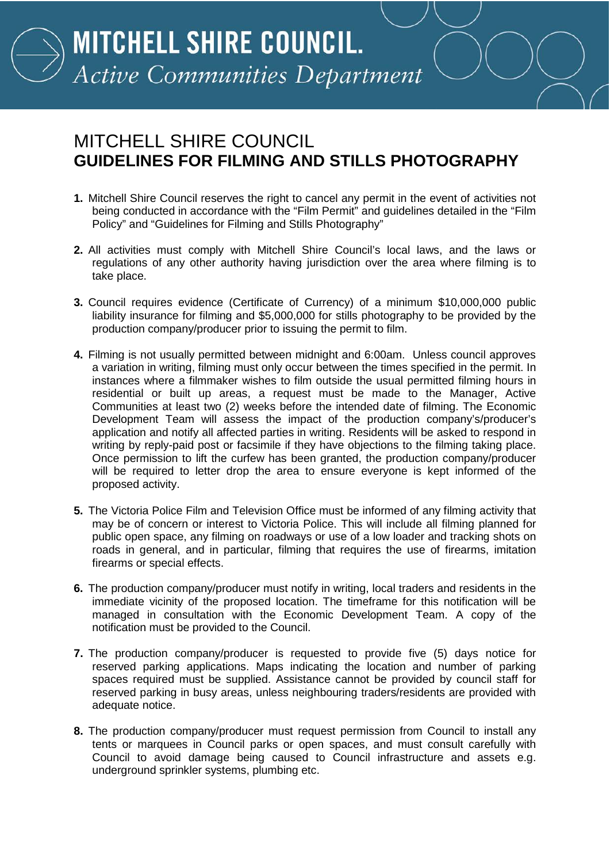## MITCHELL SHIRE COUNCIL **GUIDELINES FOR FILMING AND STILLS PHOTOGRAPHY**

- **1.** Mitchell Shire Council reserves the right to cancel any permit in the event of activities not being conducted in accordance with the "Film Permit" and guidelines detailed in the "Film Policy" and "Guidelines for Filming and Stills Photography"
- **2.** All activities must comply with Mitchell Shire Council's local laws, and the laws or regulations of any other authority having jurisdiction over the area where filming is to take place.
- **3.** Council requires evidence (Certificate of Currency) of a minimum \$10,000,000 public liability insurance for filming and \$5,000,000 for stills photography to be provided by the production company/producer prior to issuing the permit to film.
- **4.** Filming is not usually permitted between midnight and 6:00am. Unless council approves a variation in writing, filming must only occur between the times specified in the permit. In instances where a filmmaker wishes to film outside the usual permitted filming hours in residential or built up areas, a request must be made to the Manager, Active Communities at least two (2) weeks before the intended date of filming. The Economic Development Team will assess the impact of the production company's/producer's application and notify all affected parties in writing. Residents will be asked to respond in writing by reply-paid post or facsimile if they have objections to the filming taking place. Once permission to lift the curfew has been granted, the production company/producer will be required to letter drop the area to ensure everyone is kept informed of the proposed activity.
- **5.** The Victoria Police Film and Television Office must be informed of any filming activity that may be of concern or interest to Victoria Police. This will include all filming planned for public open space, any filming on roadways or use of a low loader and tracking shots on roads in general, and in particular, filming that requires the use of firearms, imitation firearms or special effects.
- **6.** The production company/producer must notify in writing, local traders and residents in the immediate vicinity of the proposed location. The timeframe for this notification will be managed in consultation with the Economic Development Team. A copy of the notification must be provided to the Council.
- **7.** The production company/producer is requested to provide five (5) days notice for reserved parking applications. Maps indicating the location and number of parking spaces required must be supplied. Assistance cannot be provided by council staff for reserved parking in busy areas, unless neighbouring traders/residents are provided with adequate notice.
- **8.** The production company/producer must request permission from Council to install any tents or marquees in Council parks or open spaces, and must consult carefully with Council to avoid damage being caused to Council infrastructure and assets e.g. underground sprinkler systems, plumbing etc.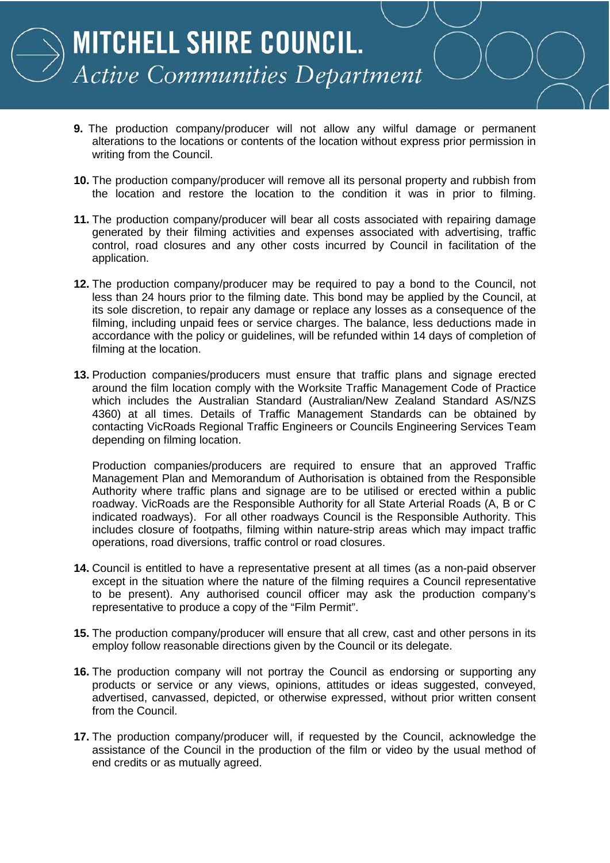

MITCHELL SHIRE COUNCIL. **Active Communities Department** 

- **9.** The production company/producer will not allow any wilful damage or permanent alterations to the locations or contents of the location without express prior permission in writing from the Council.
- **10.** The production company/producer will remove all its personal property and rubbish from the location and restore the location to the condition it was in prior to filming.
- **11.** The production company/producer will bear all costs associated with repairing damage generated by their filming activities and expenses associated with advertising, traffic control, road closures and any other costs incurred by Council in facilitation of the application.
- **12.** The production company/producer may be required to pay a bond to the Council, not less than 24 hours prior to the filming date. This bond may be applied by the Council, at its sole discretion, to repair any damage or replace any losses as a consequence of the filming, including unpaid fees or service charges. The balance, less deductions made in accordance with the policy or guidelines, will be refunded within 14 days of completion of filming at the location.
- **13.** Production companies/producers must ensure that traffic plans and signage erected around the film location comply with the Worksite Traffic Management Code of Practice which includes the Australian Standard (Australian/New Zealand Standard AS/NZS 4360) at all times. Details of Traffic Management Standards can be obtained by contacting VicRoads Regional Traffic Engineers or Councils Engineering Services Team depending on filming location.

Production companies/producers are required to ensure that an approved Traffic Management Plan and Memorandum of Authorisation is obtained from the Responsible Authority where traffic plans and signage are to be utilised or erected within a public roadway. VicRoads are the Responsible Authority for all State Arterial Roads (A, B or C indicated roadways). For all other roadways Council is the Responsible Authority. This includes closure of footpaths, filming within nature-strip areas which may impact traffic operations, road diversions, traffic control or road closures.

- **14.** Council is entitled to have a representative present at all times (as a non-paid observer except in the situation where the nature of the filming requires a Council representative to be present). Any authorised council officer may ask the production company's representative to produce a copy of the "Film Permit".
- **15.** The production company/producer will ensure that all crew, cast and other persons in its employ follow reasonable directions given by the Council or its delegate.
- **16.** The production company will not portray the Council as endorsing or supporting any products or service or any views, opinions, attitudes or ideas suggested, conveyed, advertised, canvassed, depicted, or otherwise expressed, without prior written consent from the Council.
- **17.** The production company/producer will, if requested by the Council, acknowledge the assistance of the Council in the production of the film or video by the usual method of end credits or as mutually agreed.